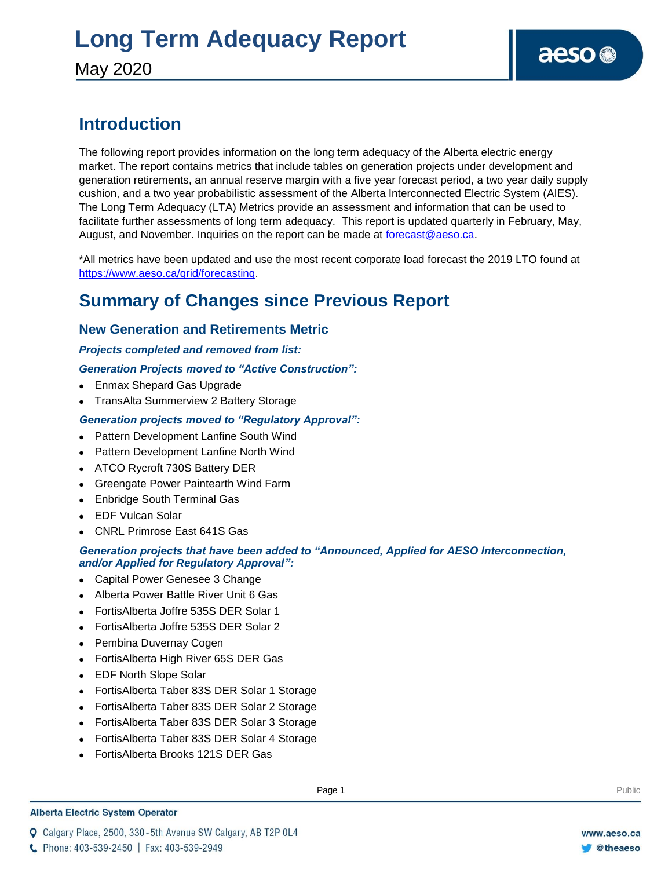# **Long Term Adequacy Report**

May 2020

### **Introduction**

The following report provides information on the long term adequacy of the Alberta electric energy market. The report contains metrics that include tables on generation projects under development and generation retirements, an annual reserve margin with a five year forecast period, a two year daily supply cushion, and a two year probabilistic assessment of the Alberta Interconnected Electric System (AIES). The Long Term Adequacy (LTA) Metrics provide an assessment and information that can be used to facilitate further assessments of long term adequacy. This report is updated quarterly in February, May, August, and November. Inquiries on the report can be made at [forecast@aeso.ca.](mailto:forecast@aeso.ca)

\*All metrics have been updated and use the most recent corporate load forecast the 2019 LTO found at https://www.aeso.ca/grid/forecasting.

### **Summary of Changes since Previous Report**

#### **New Generation and Retirements Metric**

#### *Projects completed and removed from list:*

#### *Generation Projects moved to "Active Construction":*

- Enmax Shepard Gas Upgrade
- TransAlta Summerview 2 Battery Storage

#### *Generation projects moved to "Regulatory Approval":*

- Pattern Development Lanfine South Wind
- Pattern Development Lanfine North Wind
- ATCO Rycroft 730S Battery DER
- Greengate Power Paintearth Wind Farm
- Enbridge South Terminal Gas
- EDF Vulcan Solar
- CNRL Primrose East 641S Gas

#### *Generation projects that have been added to "Announced, Applied for AESO Interconnection, and/or Applied for Regulatory Approval":*

- Capital Power Genesee 3 Change
- Alberta Power Battle River Unit 6 Gas
- FortisAlberta Joffre 535S DER Solar 1
- FortisAlberta Joffre 535S DER Solar 2
- Pembina Duvernay Cogen
- FortisAlberta High River 65S DER Gas
- EDF North Slope Solar
- FortisAlberta Taber 83S DER Solar 1 Storage
- FortisAlberta Taber 83S DER Solar 2 Storage
- FortisAlberta Taber 83S DER Solar 3 Storage
- FortisAlberta Taber 83S DER Solar 4 Storage
- FortisAlberta Brooks 121S DER Gas

#### **Alberta Electric System Operator**

Q Calgary Place, 2500, 330-5th Avenue SW Calgary, AB T2P 0L4

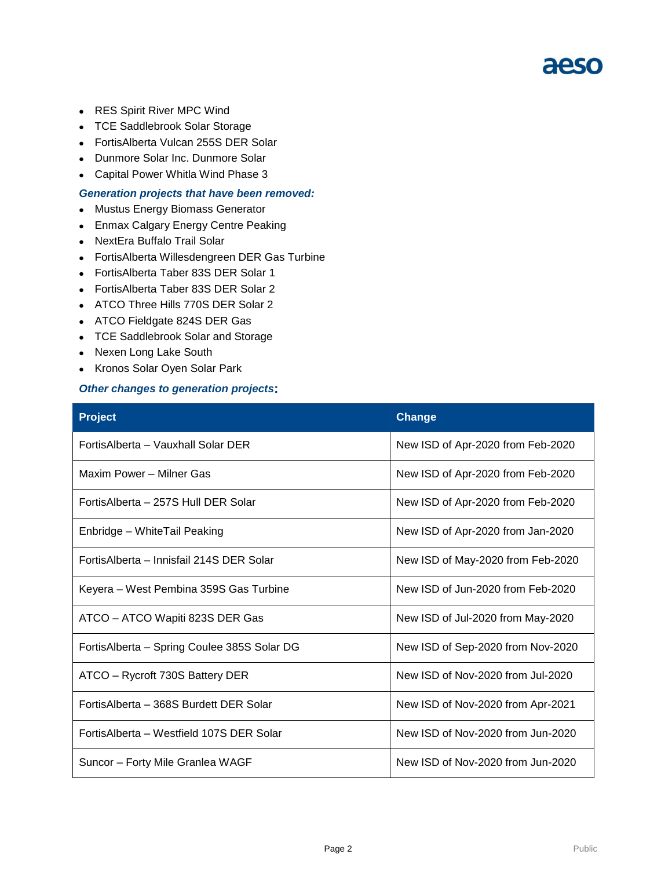- RES Spirit River MPC Wind
- TCE Saddlebrook Solar Storage
- FortisAlberta Vulcan 255S DER Solar
- Dunmore Solar Inc. Dunmore Solar
- Capital Power Whitla Wind Phase 3

#### *Generation projects that have been removed:*

- Mustus Energy Biomass Generator
- Enmax Calgary Energy Centre Peaking
- NextEra Buffalo Trail Solar
- FortisAlberta Willesdengreen DER Gas Turbine
- FortisAlberta Taber 83S DER Solar 1
- FortisAlberta Taber 83S DER Solar 2
- ATCO Three Hills 770S DER Solar 2
- ATCO Fieldgate 824S DER Gas
- TCE Saddlebrook Solar and Storage
- Nexen Long Lake South
- Kronos Solar Oyen Solar Park

#### *Other changes to generation projects***:**

| <b>Project</b>                              | <b>Change</b>                     |
|---------------------------------------------|-----------------------------------|
| Fortis Alberta - Vauxhall Solar DER         | New ISD of Apr-2020 from Feb-2020 |
| Maxim Power - Milner Gas                    | New ISD of Apr-2020 from Feb-2020 |
| Fortis Alberta – 257S Hull DER Solar        | New ISD of Apr-2020 from Feb-2020 |
| Enbridge - WhiteTail Peaking                | New ISD of Apr-2020 from Jan-2020 |
| FortisAlberta – Innisfail 214S DER Solar    | New ISD of May-2020 from Feb-2020 |
| Keyera – West Pembina 359S Gas Turbine      | New ISD of Jun-2020 from Feb-2020 |
| ATCO – ATCO Wapiti 823S DER Gas             | New ISD of Jul-2020 from May-2020 |
| FortisAlberta – Spring Coulee 385S Solar DG | New ISD of Sep-2020 from Nov-2020 |
| ATCO - Rycroft 730S Battery DER             | New ISD of Nov-2020 from Jul-2020 |
| FortisAlberta - 368S Burdett DER Solar      | New ISD of Nov-2020 from Apr-2021 |
| Fortis Alberta - Westfield 107S DER Solar   | New ISD of Nov-2020 from Jun-2020 |
| Suncor - Forty Mile Granlea WAGF            | New ISD of Nov-2020 from Jun-2020 |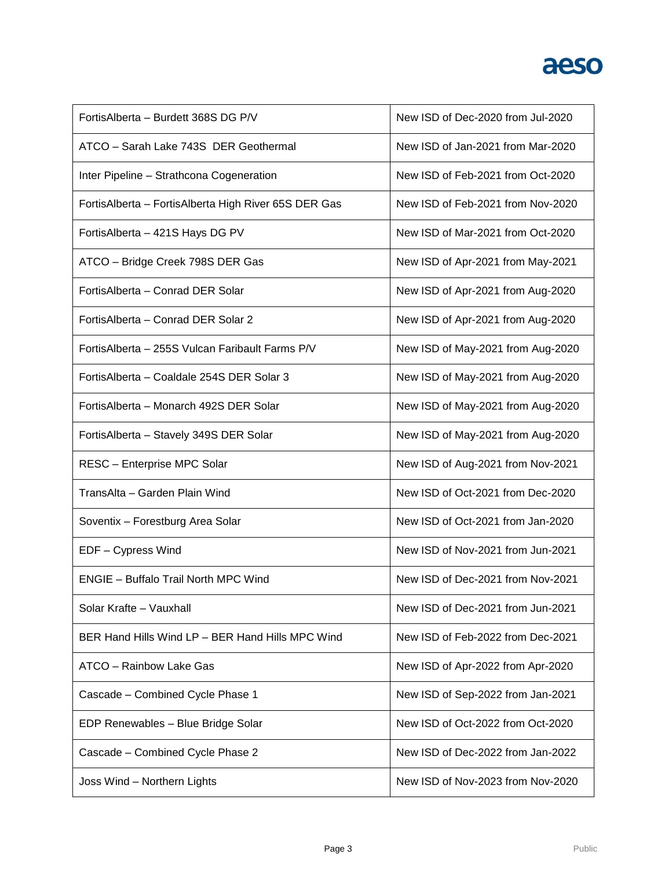| FortisAlberta - Burdett 368S DG P/V                  | New ISD of Dec-2020 from Jul-2020 |
|------------------------------------------------------|-----------------------------------|
| ATCO - Sarah Lake 743S DER Geothermal                | New ISD of Jan-2021 from Mar-2020 |
| Inter Pipeline - Strathcona Cogeneration             | New ISD of Feb-2021 from Oct-2020 |
| FortisAlberta - FortisAlberta High River 65S DER Gas | New ISD of Feb-2021 from Nov-2020 |
| FortisAlberta - 421S Hays DG PV                      | New ISD of Mar-2021 from Oct-2020 |
| ATCO - Bridge Creek 798S DER Gas                     | New ISD of Apr-2021 from May-2021 |
| FortisAlberta - Conrad DER Solar                     | New ISD of Apr-2021 from Aug-2020 |
| FortisAlberta - Conrad DER Solar 2                   | New ISD of Apr-2021 from Aug-2020 |
| Fortis Alberta - 255S Vulcan Faribault Farms P/V     | New ISD of May-2021 from Aug-2020 |
| Fortis Alberta - Coaldale 254S DER Solar 3           | New ISD of May-2021 from Aug-2020 |
| FortisAlberta - Monarch 492S DER Solar               | New ISD of May-2021 from Aug-2020 |
| FortisAlberta - Stavely 349S DER Solar               | New ISD of May-2021 from Aug-2020 |
| RESC - Enterprise MPC Solar                          | New ISD of Aug-2021 from Nov-2021 |
| TransAlta - Garden Plain Wind                        | New ISD of Oct-2021 from Dec-2020 |
|                                                      |                                   |
| Soventix - Forestburg Area Solar                     | New ISD of Oct-2021 from Jan-2020 |
| EDF - Cypress Wind                                   | New ISD of Nov-2021 from Jun-2021 |
| <b>ENGIE - Buffalo Trail North MPC Wind</b>          | New ISD of Dec-2021 from Nov-2021 |
| Solar Krafte - Vauxhall                              | New ISD of Dec-2021 from Jun-2021 |
| BER Hand Hills Wind LP - BER Hand Hills MPC Wind     | New ISD of Feb-2022 from Dec-2021 |
| ATCO - Rainbow Lake Gas                              | New ISD of Apr-2022 from Apr-2020 |
| Cascade - Combined Cycle Phase 1                     | New ISD of Sep-2022 from Jan-2021 |
| EDP Renewables - Blue Bridge Solar                   | New ISD of Oct-2022 from Oct-2020 |
| Cascade - Combined Cycle Phase 2                     | New ISD of Dec-2022 from Jan-2022 |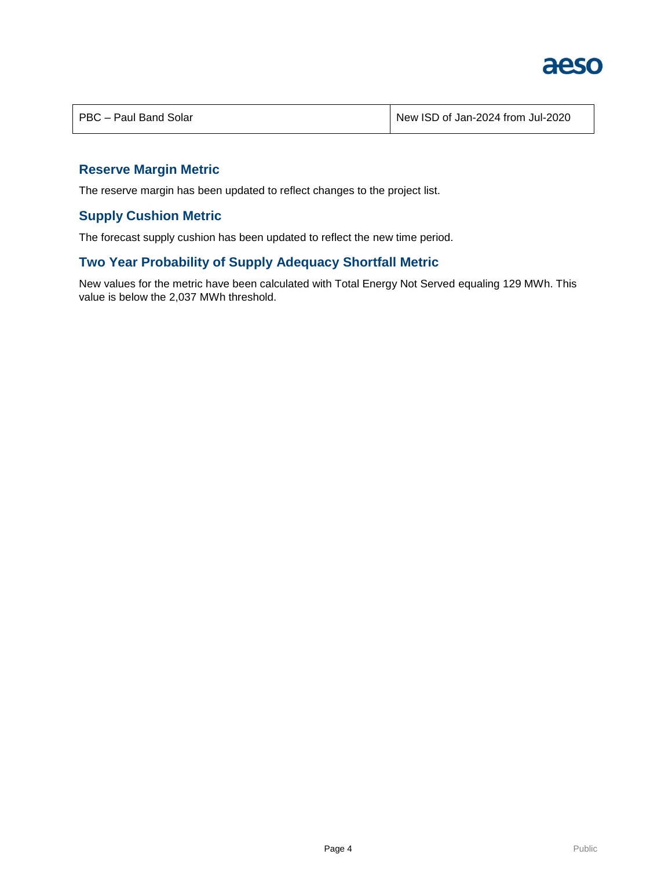

| PBC - Paul Band Solar | New ISD of Jan-2024 from Jul-2020 |
|-----------------------|-----------------------------------|
|                       |                                   |

#### **Reserve Margin Metric**

The reserve margin has been updated to reflect changes to the project list.

#### **Supply Cushion Metric**

The forecast supply cushion has been updated to reflect the new time period.

#### **Two Year Probability of Supply Adequacy Shortfall Metric**

New values for the metric have been calculated with Total Energy Not Served equaling 129 MWh. This value is below the 2,037 MWh threshold.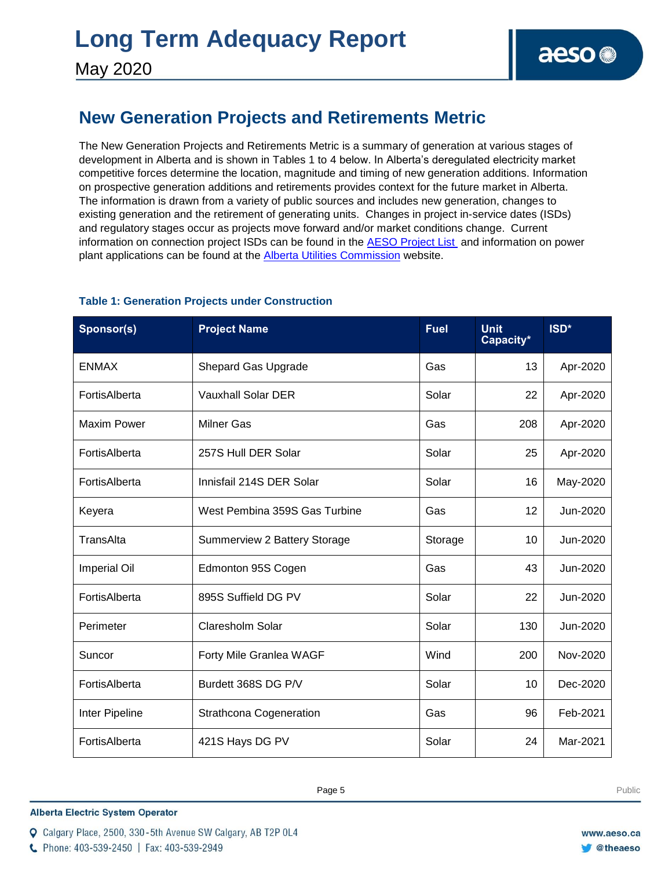### **New Generation Projects and Retirements Metric**

The New Generation Projects and Retirements Metric is a summary of generation at various stages of development in Alberta and is shown in Tables 1 to 4 below. In Alberta's deregulated electricity market competitive forces determine the location, magnitude and timing of new generation additions. Information on prospective generation additions and retirements provides context for the future market in Alberta. The information is drawn from a variety of public sources and includes new generation, changes to existing generation and the retirement of generating units. Changes in project in-service dates (ISDs) and regulatory stages occur as projects move forward and/or market conditions change. Current information on connection project ISDs can be found in the [AESO Project List](https://www.aeso.ca/grid/connecting-to-the-grid/) and information on power plant applications can be found at the **Alberta Utilities Commission** website.

| Sponsor(s)          | <b>Project Name</b>            | <b>Fuel</b> | <b>Unit</b><br>Capacity* | ISD*     |
|---------------------|--------------------------------|-------------|--------------------------|----------|
| <b>ENMAX</b>        | <b>Shepard Gas Upgrade</b>     | Gas         | 13                       | Apr-2020 |
| FortisAlberta       | <b>Vauxhall Solar DER</b>      | Solar       | 22                       | Apr-2020 |
| <b>Maxim Power</b>  | <b>Milner Gas</b>              | Gas         | 208                      | Apr-2020 |
| FortisAlberta       | 257S Hull DER Solar            | Solar       | 25                       | Apr-2020 |
| FortisAlberta       | Innisfail 214S DER Solar       | Solar       | 16                       | May-2020 |
| Keyera              | West Pembina 359S Gas Turbine  | Gas         | 12                       | Jun-2020 |
| TransAlta           | Summerview 2 Battery Storage   | Storage     | 10                       | Jun-2020 |
| <b>Imperial Oil</b> | Edmonton 95S Cogen             | Gas         | 43                       | Jun-2020 |
| FortisAlberta       | 895S Suffield DG PV            | Solar       | 22                       | Jun-2020 |
| Perimeter           | Claresholm Solar               | Solar       | 130                      | Jun-2020 |
| Suncor              | Forty Mile Granlea WAGF        | Wind        | 200                      | Nov-2020 |
| FortisAlberta       | Burdett 368S DG P/V            | Solar       | 10                       | Dec-2020 |
| Inter Pipeline      | <b>Strathcona Cogeneration</b> | Gas         | 96                       | Feb-2021 |
| FortisAlberta       | 421S Hays DG PV                | Solar       | 24                       | Mar-2021 |

#### **Table 1: Generation Projects under Construction**

**Enter Football Page 5** Public Page 4 **Public Public Public Public Public Public Public Public Public Public Public Public Public Public Public Public Public Public Public Public Public Public Public Public Public Public P** 

**Alberta Electric System Operator** 

C Phone: 403-539-2450 | Fax: 403-539-2949

Q Calgary Place, 2500, 330-5th Avenue SW Calgary, AB T2P 0L4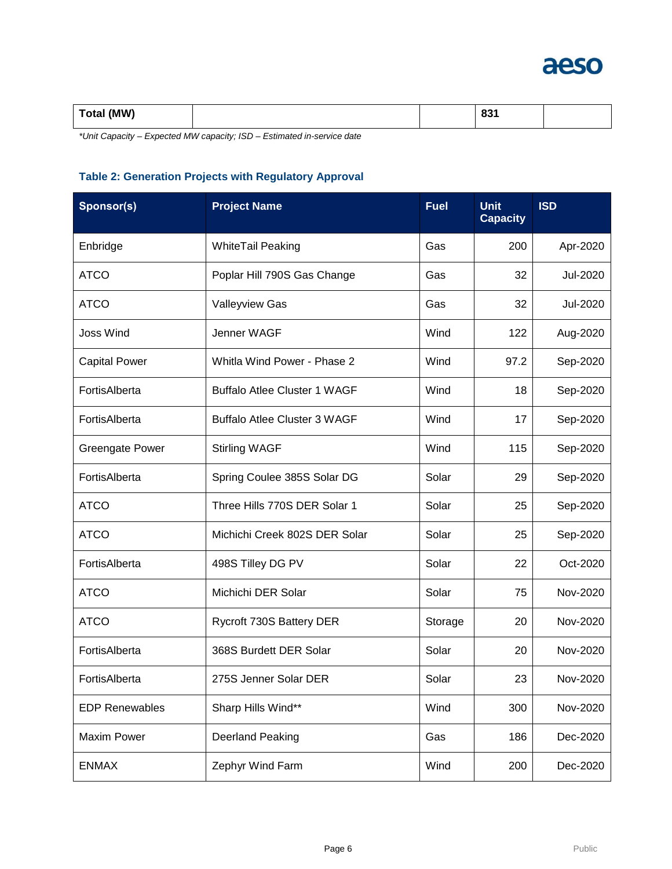

| Total (MW)<br>$\cdot$ |  |  | $\sim$<br>vv i |  |
|-----------------------|--|--|----------------|--|
|-----------------------|--|--|----------------|--|

*\*Unit Capacity – Expected MW capacity; ISD – Estimated in-service date*

#### **Table 2: Generation Projects with Regulatory Approval**

| Sponsor(s)             | <b>Project Name</b>                 | <b>Fuel</b> | <b>Unit</b><br><b>Capacity</b> | <b>ISD</b> |
|------------------------|-------------------------------------|-------------|--------------------------------|------------|
| Enbridge               | <b>WhiteTail Peaking</b>            | Gas         | 200                            | Apr-2020   |
| <b>ATCO</b>            | Poplar Hill 790S Gas Change         | Gas         | 32                             | Jul-2020   |
| <b>ATCO</b>            | Valleyview Gas                      | Gas         | 32                             | Jul-2020   |
| <b>Joss Wind</b>       | Jenner WAGF                         | Wind        | 122                            | Aug-2020   |
| <b>Capital Power</b>   | Whitla Wind Power - Phase 2         | Wind        | 97.2                           | Sep-2020   |
| FortisAlberta          | <b>Buffalo Atlee Cluster 1 WAGF</b> | Wind        | 18                             | Sep-2020   |
| FortisAlberta          | <b>Buffalo Atlee Cluster 3 WAGF</b> | Wind        | 17                             | Sep-2020   |
| <b>Greengate Power</b> | <b>Stirling WAGF</b>                | Wind        | 115                            | Sep-2020   |
| FortisAlberta          | Spring Coulee 385S Solar DG         | Solar       | 29                             | Sep-2020   |
| <b>ATCO</b>            | Three Hills 770S DER Solar 1        | Solar       | 25                             | Sep-2020   |
| <b>ATCO</b>            | Michichi Creek 802S DER Solar       | Solar       | 25                             | Sep-2020   |
| FortisAlberta          | 498S Tilley DG PV                   | Solar       | 22                             | Oct-2020   |
| <b>ATCO</b>            | Michichi DER Solar                  | Solar       | 75                             | Nov-2020   |
| <b>ATCO</b>            | Rycroft 730S Battery DER            | Storage     | 20                             | Nov-2020   |
| FortisAlberta          | 368S Burdett DER Solar              | Solar       | 20                             | Nov-2020   |
| FortisAlberta          | 275S Jenner Solar DER               | Solar       | 23                             | Nov-2020   |
| <b>EDP Renewables</b>  | Sharp Hills Wind**                  | Wind        | 300                            | Nov-2020   |
| <b>Maxim Power</b>     | <b>Deerland Peaking</b>             | Gas         | 186                            | Dec-2020   |
| <b>ENMAX</b>           | Zephyr Wind Farm                    | Wind        | 200                            | Dec-2020   |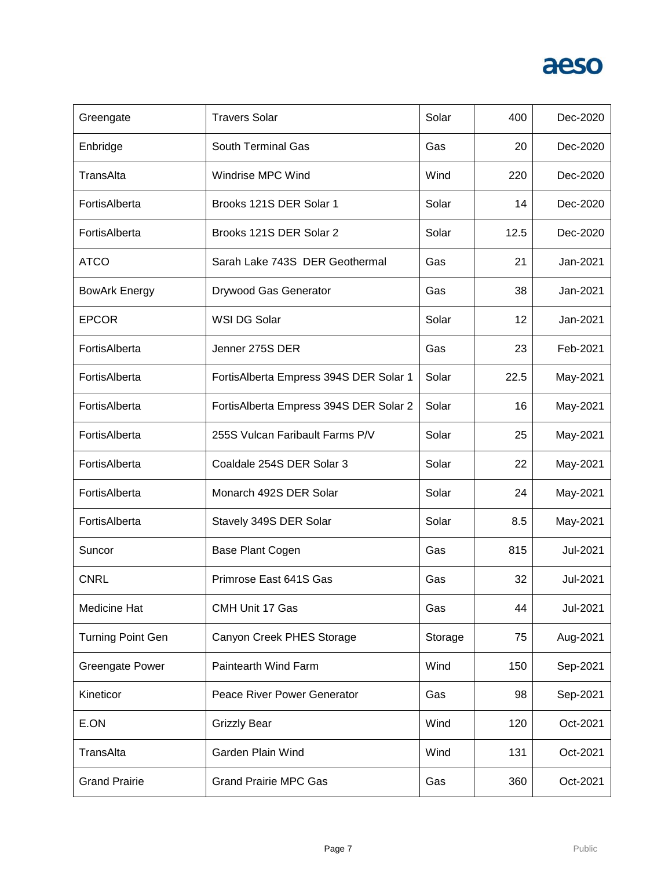| Greengate                | <b>Travers Solar</b>                   | Solar   | 400  | Dec-2020 |
|--------------------------|----------------------------------------|---------|------|----------|
| Enbridge                 | South Terminal Gas                     | Gas     | 20   | Dec-2020 |
| TransAlta                | Windrise MPC Wind                      | Wind    | 220  | Dec-2020 |
| FortisAlberta            | Brooks 121S DER Solar 1                | Solar   | 14   | Dec-2020 |
| FortisAlberta            | Brooks 121S DER Solar 2                | Solar   | 12.5 | Dec-2020 |
| <b>ATCO</b>              | Sarah Lake 743S DER Geothermal         | Gas     | 21   | Jan-2021 |
| <b>BowArk Energy</b>     | Drywood Gas Generator                  | Gas     | 38   | Jan-2021 |
| <b>EPCOR</b>             | WSI DG Solar                           | Solar   | 12   | Jan-2021 |
| FortisAlberta            | Jenner 275S DER                        | Gas     | 23   | Feb-2021 |
| FortisAlberta            | FortisAlberta Empress 394S DER Solar 1 | Solar   | 22.5 | May-2021 |
| FortisAlberta            | FortisAlberta Empress 394S DER Solar 2 | Solar   | 16   | May-2021 |
| FortisAlberta            | 255S Vulcan Faribault Farms P/V        | Solar   | 25   | May-2021 |
| FortisAlberta            | Coaldale 254S DER Solar 3              | Solar   | 22   | May-2021 |
| FortisAlberta            | Monarch 492S DER Solar                 | Solar   | 24   | May-2021 |
| FortisAlberta            | Stavely 349S DER Solar                 | Solar   | 8.5  | May-2021 |
| Suncor                   | Base Plant Cogen                       | Gas     | 815  | Jul-2021 |
| <b>CNRL</b>              | Primrose East 641S Gas                 | Gas     | 32   | Jul-2021 |
| Medicine Hat             | CMH Unit 17 Gas                        | Gas     | 44   | Jul-2021 |
| <b>Turning Point Gen</b> | Canyon Creek PHES Storage              | Storage | 75   | Aug-2021 |
| <b>Greengate Power</b>   | Paintearth Wind Farm                   | Wind    | 150  | Sep-2021 |
| Kineticor                | Peace River Power Generator            | Gas     | 98   | Sep-2021 |
| E.ON                     | <b>Grizzly Bear</b>                    | Wind    | 120  | Oct-2021 |
| TransAlta                | Garden Plain Wind                      | Wind    | 131  | Oct-2021 |
| <b>Grand Prairie</b>     | <b>Grand Prairie MPC Gas</b>           | Gas     | 360  | Oct-2021 |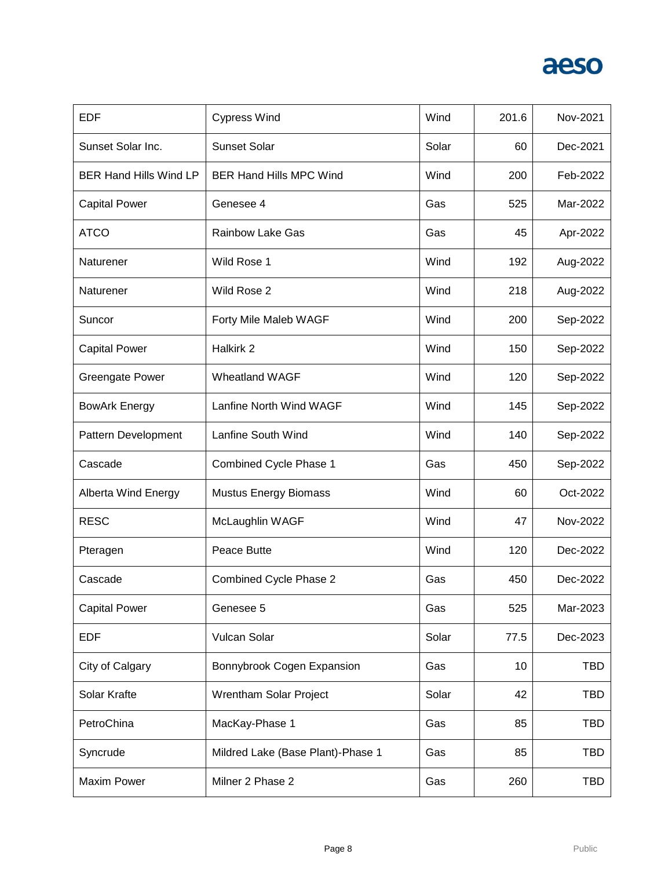| <b>EDF</b>                    | <b>Cypress Wind</b>               | Wind  | 201.6 | Nov-2021   |
|-------------------------------|-----------------------------------|-------|-------|------------|
| Sunset Solar Inc.             | <b>Sunset Solar</b>               | Solar | 60    | Dec-2021   |
| <b>BER Hand Hills Wind LP</b> | <b>BER Hand Hills MPC Wind</b>    | Wind  | 200   | Feb-2022   |
| <b>Capital Power</b>          | Genesee 4                         | Gas   | 525   | Mar-2022   |
| <b>ATCO</b>                   | <b>Rainbow Lake Gas</b>           | Gas   | 45    | Apr-2022   |
| Naturener                     | Wild Rose 1                       | Wind  | 192   | Aug-2022   |
| Naturener                     | Wild Rose 2                       | Wind  | 218   | Aug-2022   |
| Suncor                        | Forty Mile Maleb WAGF             | Wind  | 200   | Sep-2022   |
| <b>Capital Power</b>          | Halkirk 2                         | Wind  | 150   | Sep-2022   |
| <b>Greengate Power</b>        | Wheatland WAGF                    | Wind  | 120   | Sep-2022   |
| <b>BowArk Energy</b>          | Lanfine North Wind WAGF           | Wind  | 145   | Sep-2022   |
| Pattern Development           | Lanfine South Wind                | Wind  | 140   | Sep-2022   |
| Cascade                       | Combined Cycle Phase 1            | Gas   | 450   | Sep-2022   |
| Alberta Wind Energy           | <b>Mustus Energy Biomass</b>      | Wind  | 60    | Oct-2022   |
| <b>RESC</b>                   | McLaughlin WAGF                   | Wind  | 47    | Nov-2022   |
| Pteragen                      | Peace Butte                       | Wind  | 120   | Dec-2022   |
| Cascade                       | Combined Cycle Phase 2            | Gas   | 450   | Dec-2022   |
| <b>Capital Power</b>          | Genesee 5                         | Gas   | 525   | Mar-2023   |
| <b>EDF</b>                    | <b>Vulcan Solar</b>               | Solar | 77.5  | Dec-2023   |
| City of Calgary               | Bonnybrook Cogen Expansion        | Gas   | 10    | <b>TBD</b> |
| Solar Krafte                  | Wrentham Solar Project            | Solar | 42    | <b>TBD</b> |
| PetroChina                    | MacKay-Phase 1                    | Gas   | 85    | <b>TBD</b> |
| Syncrude                      | Mildred Lake (Base Plant)-Phase 1 | Gas   | 85    | <b>TBD</b> |
| <b>Maxim Power</b>            | Milner 2 Phase 2                  | Gas   | 260   | <b>TBD</b> |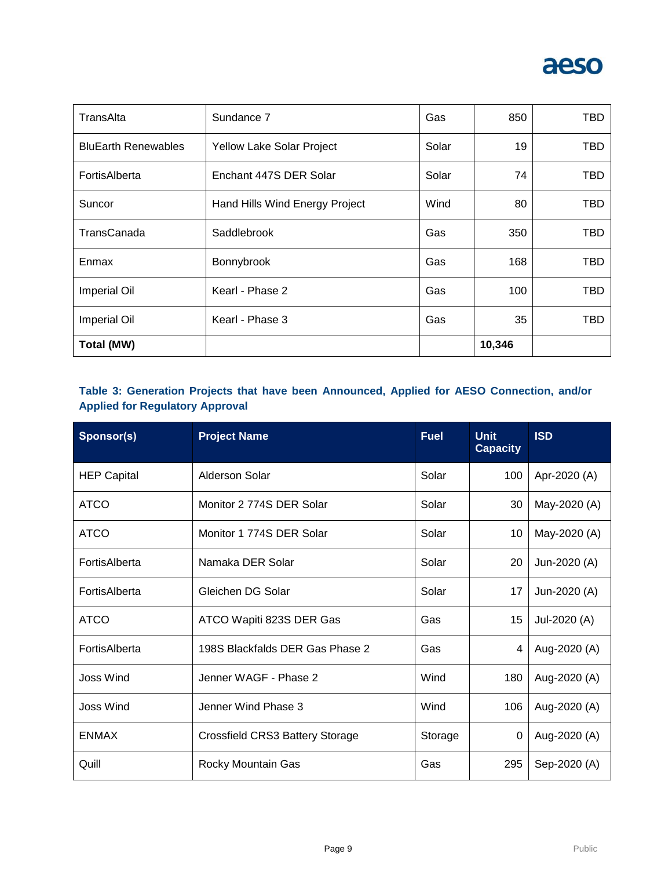

| TransAlta                  | Sundance 7                     | Gas   | 850    | TBD |
|----------------------------|--------------------------------|-------|--------|-----|
| <b>BluEarth Renewables</b> | Yellow Lake Solar Project      | Solar | 19     | TBD |
| FortisAlberta              | Enchant 447S DER Solar         | Solar | 74     | TBD |
| Suncor                     | Hand Hills Wind Energy Project | Wind  | 80     | TBD |
| TransCanada                | Saddlebrook                    | Gas   | 350    | TBD |
| Enmax                      | Bonnybrook                     | Gas   | 168    | TBD |
| <b>Imperial Oil</b>        | Kearl - Phase 2                | Gas   | 100    | TBD |
| <b>Imperial Oil</b>        | Kearl - Phase 3                | Gas   | 35     | TBD |
| <b>Total (MW)</b>          |                                |       | 10,346 |     |

#### **Table 3: Generation Projects that have been Announced, Applied for AESO Connection, and/or Applied for Regulatory Approval**

| Sponsor(s)         | <b>Project Name</b>             | <b>Fuel</b> | <b>Unit</b><br><b>Capacity</b> | <b>ISD</b>   |
|--------------------|---------------------------------|-------------|--------------------------------|--------------|
| <b>HEP Capital</b> | Alderson Solar                  | Solar       | 100                            | Apr-2020 (A) |
| <b>ATCO</b>        | Monitor 2 774S DER Solar        | Solar       | 30                             | May-2020 (A) |
| <b>ATCO</b>        | Monitor 1 774S DER Solar        | Solar       | 10                             | May-2020 (A) |
| FortisAlberta      | Namaka DER Solar                | Solar       | 20                             | Jun-2020 (A) |
| FortisAlberta      | Gleichen DG Solar               | Solar       | 17                             | Jun-2020 (A) |
| <b>ATCO</b>        | ATCO Wapiti 823S DER Gas        | Gas         | 15                             | Jul-2020 (A) |
| FortisAlberta      | 198S Blackfalds DER Gas Phase 2 | Gas         | 4                              | Aug-2020 (A) |
| Joss Wind          | Jenner WAGF - Phase 2           | Wind        | 180                            | Aug-2020 (A) |
| Joss Wind          | Jenner Wind Phase 3             | Wind        | 106                            | Aug-2020 (A) |
| <b>ENMAX</b>       | Crossfield CRS3 Battery Storage | Storage     | 0                              | Aug-2020 (A) |
| Quill              | Rocky Mountain Gas              | Gas         | 295                            | Sep-2020 (A) |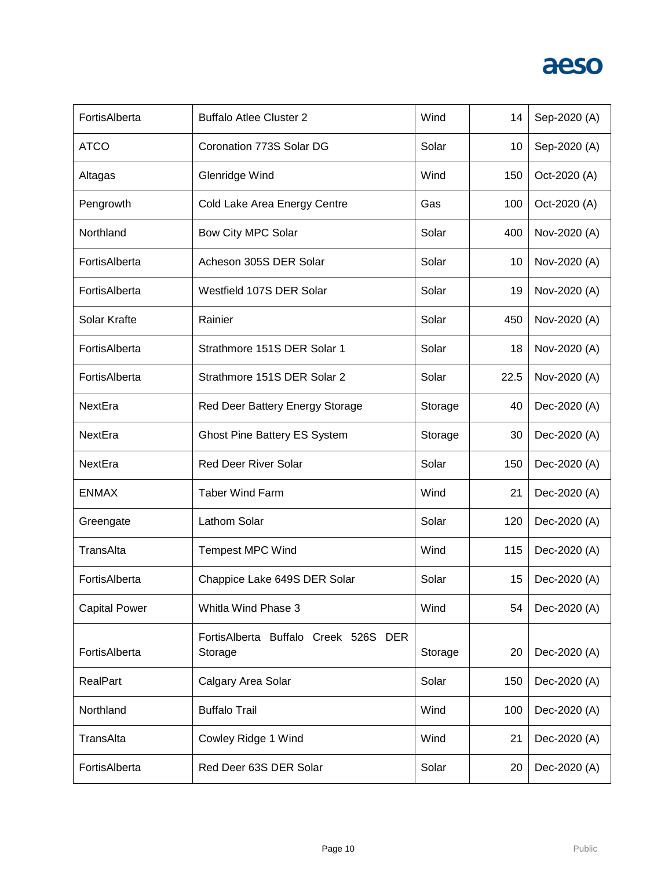| FortisAlberta        | <b>Buffalo Atlee Cluster 2</b>                  | Wind    | 14   | Sep-2020 (A) |
|----------------------|-------------------------------------------------|---------|------|--------------|
| <b>ATCO</b>          | Coronation 773S Solar DG                        | Solar   | 10   | Sep-2020 (A) |
| Altagas              | Glenridge Wind                                  | Wind    | 150  | Oct-2020 (A) |
| Pengrowth            | Cold Lake Area Energy Centre                    | Gas     | 100  | Oct-2020 (A) |
| Northland            | Bow City MPC Solar                              | Solar   | 400  | Nov-2020 (A) |
| FortisAlberta        | Acheson 305S DER Solar                          | Solar   | 10   | Nov-2020 (A) |
| FortisAlberta        | Westfield 107S DER Solar                        | Solar   | 19   | Nov-2020 (A) |
| Solar Krafte         | Rainier                                         | Solar   | 450  | Nov-2020 (A) |
| FortisAlberta        | Strathmore 151S DER Solar 1                     | Solar   | 18   | Nov-2020 (A) |
| FortisAlberta        | Strathmore 151S DER Solar 2                     | Solar   | 22.5 | Nov-2020 (A) |
| NextEra              | Red Deer Battery Energy Storage                 | Storage | 40   | Dec-2020 (A) |
| NextEra              | <b>Ghost Pine Battery ES System</b>             | Storage | 30   | Dec-2020 (A) |
| NextEra              | <b>Red Deer River Solar</b>                     | Solar   | 150  | Dec-2020 (A) |
| <b>ENMAX</b>         | <b>Taber Wind Farm</b>                          | Wind    | 21   | Dec-2020 (A) |
| Greengate            | Lathom Solar                                    | Solar   | 120  | Dec-2020 (A) |
| TransAlta            | <b>Tempest MPC Wind</b>                         | Wind    | 115  | Dec-2020 (A) |
| FortisAlberta        | Chappice Lake 649S DER Solar                    | Solar   | 15   | Dec-2020 (A) |
| <b>Capital Power</b> | Whitla Wind Phase 3                             | Wind    | 54   | Dec-2020 (A) |
| FortisAlberta        | FortisAlberta Buffalo Creek 526S DER<br>Storage | Storage | 20   | Dec-2020 (A) |
| RealPart             | Calgary Area Solar                              | Solar   | 150  | Dec-2020 (A) |
| Northland            | <b>Buffalo Trail</b>                            | Wind    | 100  | Dec-2020 (A) |
| TransAlta            | Cowley Ridge 1 Wind                             | Wind    | 21   | Dec-2020 (A) |
| FortisAlberta        | Red Deer 63S DER Solar                          | Solar   | 20   | Dec-2020 (A) |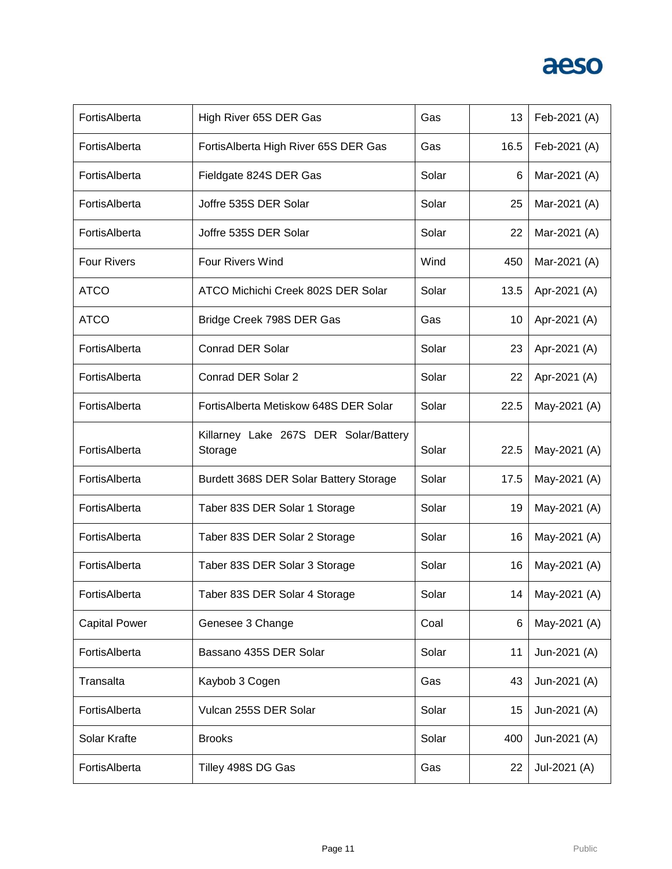| FortisAlberta        | High River 65S DER Gas                           | Gas   | 13   | Feb-2021 (A) |
|----------------------|--------------------------------------------------|-------|------|--------------|
| FortisAlberta        | FortisAlberta High River 65S DER Gas             | Gas   | 16.5 | Feb-2021 (A) |
| FortisAlberta        | Fieldgate 824S DER Gas                           | Solar | 6    | Mar-2021 (A) |
| FortisAlberta        | Joffre 535S DER Solar                            | Solar | 25   | Mar-2021 (A) |
| FortisAlberta        | Joffre 535S DER Solar                            | Solar | 22   | Mar-2021 (A) |
| <b>Four Rivers</b>   | Four Rivers Wind                                 | Wind  | 450  | Mar-2021 (A) |
| <b>ATCO</b>          | ATCO Michichi Creek 802S DER Solar               | Solar | 13.5 | Apr-2021 (A) |
| <b>ATCO</b>          | Bridge Creek 798S DER Gas                        | Gas   | 10   | Apr-2021 (A) |
| FortisAlberta        | <b>Conrad DER Solar</b>                          | Solar | 23   | Apr-2021 (A) |
| FortisAlberta        | Conrad DER Solar 2                               | Solar | 22   | Apr-2021 (A) |
| FortisAlberta        | Fortis Alberta Metiskow 648S DER Solar           | Solar | 22.5 | May-2021 (A) |
| FortisAlberta        | Killarney Lake 267S DER Solar/Battery<br>Storage | Solar | 22.5 | May-2021 (A) |
| FortisAlberta        | Burdett 368S DER Solar Battery Storage           | Solar | 17.5 | May-2021 (A) |
| FortisAlberta        | Taber 83S DER Solar 1 Storage                    | Solar | 19   | May-2021 (A) |
| FortisAlberta        | Taber 83S DER Solar 2 Storage                    | Solar | 16   | May-2021 (A) |
| FortisAlberta        | Taber 83S DER Solar 3 Storage                    | Solar | 16   | May-2021 (A) |
| FortisAlberta        | Taber 83S DER Solar 4 Storage                    | Solar | 14   | May-2021 (A) |
| <b>Capital Power</b> | Genesee 3 Change                                 | Coal  | 6    | May-2021 (A) |
| FortisAlberta        | Bassano 435S DER Solar                           | Solar | 11   | Jun-2021 (A) |
| Transalta            | Kaybob 3 Cogen                                   | Gas   | 43   | Jun-2021 (A) |
| FortisAlberta        | Vulcan 255S DER Solar                            | Solar | 15   | Jun-2021 (A) |
| Solar Krafte         | <b>Brooks</b>                                    | Solar | 400  | Jun-2021 (A) |
| FortisAlberta        | Tilley 498S DG Gas                               | Gas   | 22   | Jul-2021 (A) |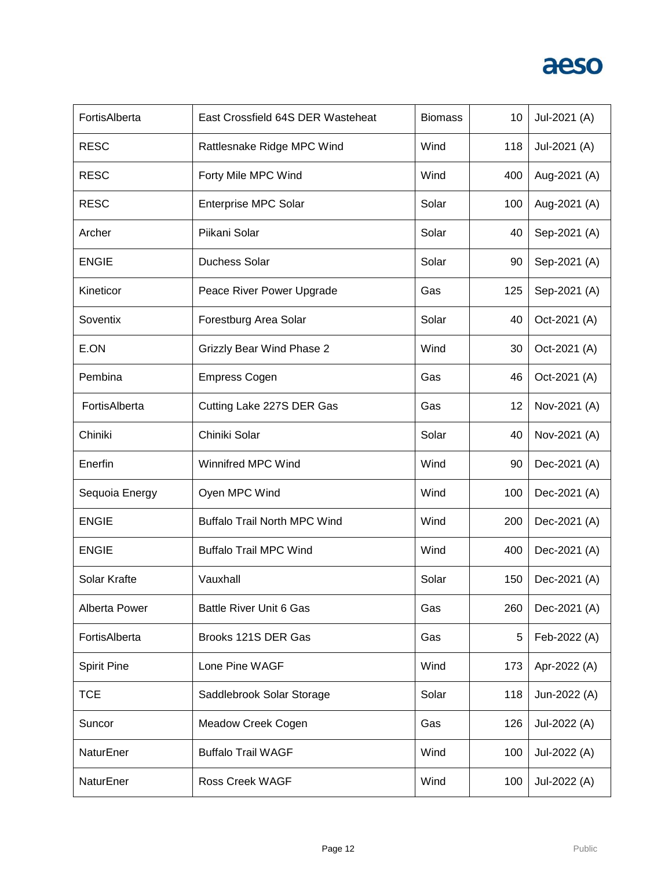| FortisAlberta      | East Crossfield 64S DER Wasteheat   | <b>Biomass</b> | 10  | Jul-2021 (A) |
|--------------------|-------------------------------------|----------------|-----|--------------|
| <b>RESC</b>        | Rattlesnake Ridge MPC Wind          | Wind           | 118 | Jul-2021 (A) |
| <b>RESC</b>        | Forty Mile MPC Wind                 | Wind           | 400 | Aug-2021 (A) |
| <b>RESC</b>        | <b>Enterprise MPC Solar</b>         | Solar          | 100 | Aug-2021 (A) |
| Archer             | Piikani Solar                       | Solar          | 40  | Sep-2021 (A) |
| <b>ENGIE</b>       | <b>Duchess Solar</b>                | Solar          | 90  | Sep-2021 (A) |
| Kineticor          | Peace River Power Upgrade           | Gas            | 125 | Sep-2021 (A) |
| Soventix           | Forestburg Area Solar               | Solar          | 40  | Oct-2021 (A) |
| E.ON               | <b>Grizzly Bear Wind Phase 2</b>    | Wind           | 30  | Oct-2021 (A) |
| Pembina            | <b>Empress Cogen</b>                | Gas            | 46  | Oct-2021 (A) |
| FortisAlberta      | Cutting Lake 227S DER Gas           | Gas            | 12  | Nov-2021 (A) |
| Chiniki            | Chiniki Solar                       | Solar          | 40  | Nov-2021 (A) |
| Enerfin            | Winnifred MPC Wind                  | Wind           | 90  | Dec-2021 (A) |
| Sequoia Energy     | Oyen MPC Wind                       | Wind           | 100 | Dec-2021 (A) |
| <b>ENGIE</b>       | <b>Buffalo Trail North MPC Wind</b> | Wind           | 200 | Dec-2021 (A) |
| <b>ENGIE</b>       | <b>Buffalo Trail MPC Wind</b>       | Wind           | 400 | Dec-2021 (A) |
| Solar Krafte       | Vauxhall                            | Solar          | 150 | Dec-2021 (A) |
| Alberta Power      | <b>Battle River Unit 6 Gas</b>      | Gas            | 260 | Dec-2021 (A) |
| FortisAlberta      | Brooks 121S DER Gas                 | Gas            | 5   | Feb-2022 (A) |
| <b>Spirit Pine</b> | Lone Pine WAGF                      | Wind           | 173 | Apr-2022 (A) |
| <b>TCE</b>         | Saddlebrook Solar Storage           | Solar          | 118 | Jun-2022 (A) |
| Suncor             | Meadow Creek Cogen                  | Gas            | 126 | Jul-2022 (A) |
| NaturEner          | <b>Buffalo Trail WAGF</b>           | Wind           | 100 | Jul-2022 (A) |
| NaturEner          | Ross Creek WAGF                     | Wind           | 100 | Jul-2022 (A) |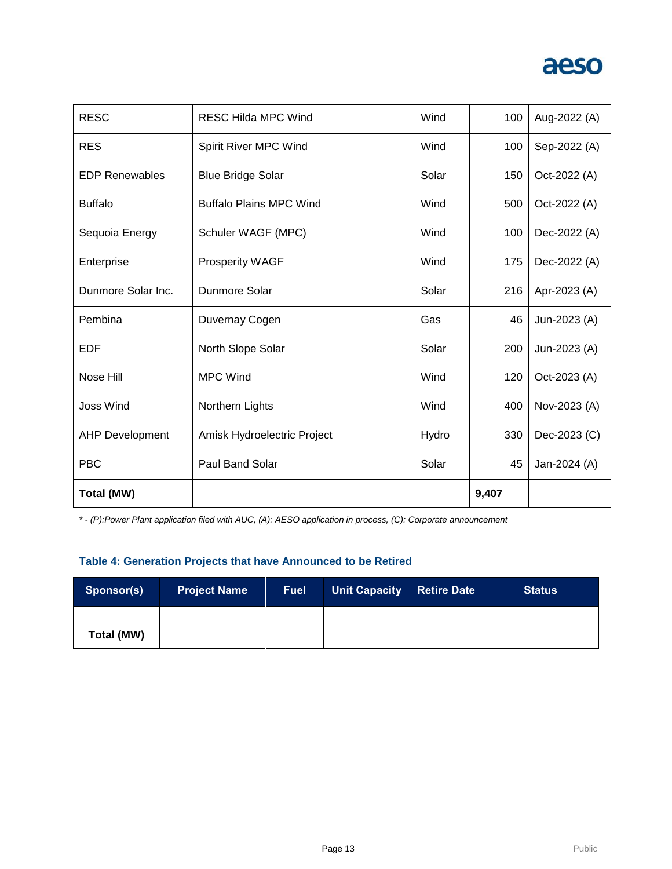| <b>RESC</b>            | <b>RESC Hilda MPC Wind</b>     | Wind  | 100   | Aug-2022 (A) |
|------------------------|--------------------------------|-------|-------|--------------|
| <b>RES</b>             | Spirit River MPC Wind          | Wind  | 100   | Sep-2022 (A) |
| <b>EDP Renewables</b>  | <b>Blue Bridge Solar</b>       | Solar | 150   | Oct-2022 (A) |
| <b>Buffalo</b>         | <b>Buffalo Plains MPC Wind</b> | Wind  | 500   | Oct-2022 (A) |
| Sequoia Energy         | Schuler WAGF (MPC)             | Wind  | 100   | Dec-2022 (A) |
| Enterprise             | <b>Prosperity WAGF</b>         | Wind  | 175   | Dec-2022 (A) |
| Dunmore Solar Inc.     | Dunmore Solar                  | Solar | 216   | Apr-2023 (A) |
| Pembina                | Duvernay Cogen                 | Gas   | 46    | Jun-2023 (A) |
| <b>EDF</b>             | North Slope Solar              | Solar | 200   | Jun-2023 (A) |
| Nose Hill              | <b>MPC Wind</b>                | Wind  | 120   | Oct-2023 (A) |
| <b>Joss Wind</b>       | Northern Lights                | Wind  | 400   | Nov-2023 (A) |
| <b>AHP Development</b> | Amisk Hydroelectric Project    | Hydro | 330   | Dec-2023 (C) |
| <b>PBC</b>             | <b>Paul Band Solar</b>         | Solar | 45    | Jan-2024 (A) |
| Total (MW)             |                                |       | 9,407 |              |

*\* - (P):Power Plant application filed with AUC, (A): AESO application in process, (C): Corporate announcement*

#### **Table 4: Generation Projects that have Announced to be Retired**

| Sponsor(s) | <b>Project Name</b> | <b>Fuel</b> | Unit Capacity | <b>Retire Date</b> | <b>Status</b> |
|------------|---------------------|-------------|---------------|--------------------|---------------|
|            |                     |             |               |                    |               |
| Total (MW) |                     |             |               |                    |               |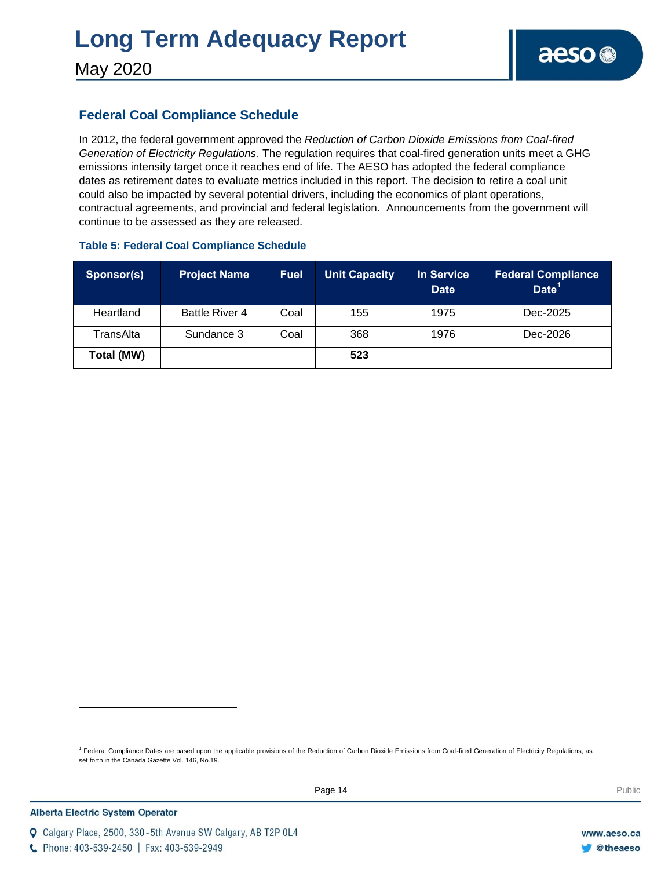# **Long Term Adequacy Report**

May 2020

#### **Federal Coal Compliance Schedule**

In 2012, the federal government approved the *Reduction of Carbon Dioxide Emissions from Coal-fired Generation of Electricity Regulations*. The regulation requires that coal-fired generation units meet a GHG emissions intensity target once it reaches end of life. The AESO has adopted the federal compliance dates as retirement dates to evaluate metrics included in this report. The decision to retire a coal unit could also be impacted by several potential drivers, including the economics of plant operations, contractual agreements, and provincial and federal legislation. Announcements from the government will continue to be assessed as they are released.

| Sponsor(s) | <b>Project Name</b> | <b>Fuel</b> | Unit Capacity | <b>In Service</b><br><b>Date</b> | <b>Federal Compliance</b><br>Date <sup>1</sup> |
|------------|---------------------|-------------|---------------|----------------------------------|------------------------------------------------|
| Heartland  | Battle River 4      | Coal        | 155           | 1975                             | Dec-2025                                       |
| TransAlta  | Sundance 3          | Coal        | 368           | 1976                             | Dec-2026                                       |
| Total (MW) |                     |             | 523           |                                  |                                                |

#### **Table 5: Federal Coal Compliance Schedule**

<sup>1</sup> Federal Compliance Dates are based upon the applicable provisions of the Reduction of Carbon Dioxide Emissions from Coal-fired Generation of Electricity Regulations, as set forth in the Canada Gazette Vol. 146, No.19.

C Phone: 403-539-2450 | Fax: 403-539-2949

Q Calgary Place, 2500, 330-5th Avenue SW Calgary, AB T2P 0L4

l

www.aeso.ca **Otheaeso**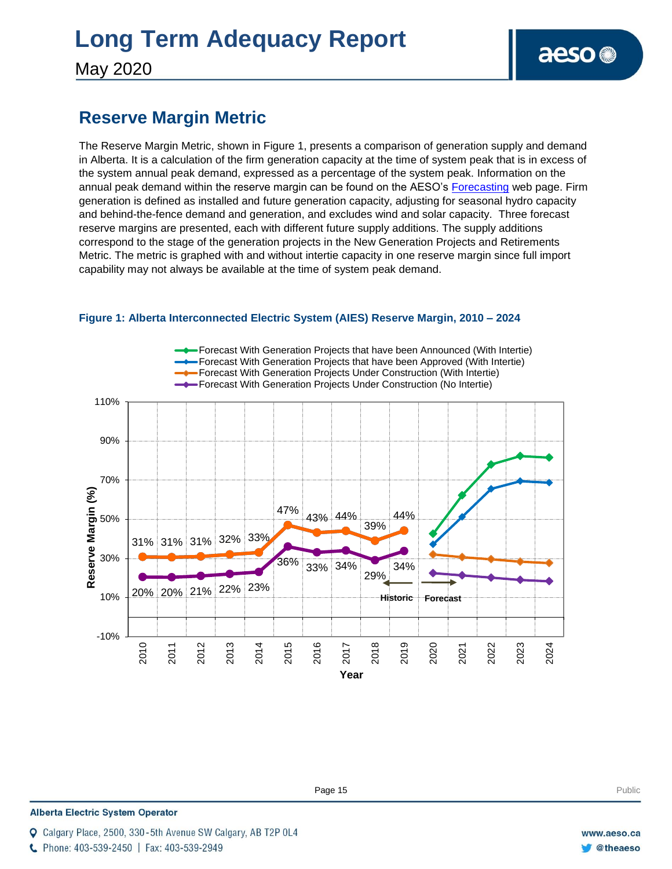# **Long Term Adequacy Report**

May 2020

### **Reserve Margin Metric**

The Reserve Margin Metric, shown in Figure 1, presents a comparison of generation supply and demand in Alberta. It is a calculation of the firm generation capacity at the time of system peak that is in excess of the system annual peak demand, expressed as a percentage of the system peak. Information on the annual peak demand within the reserve margin can be found on the AESO's [Forecasting](https://www.aeso.ca/grid/forecasting) web page. Firm generation is defined as installed and future generation capacity, adjusting for seasonal hydro capacity and behind-the-fence demand and generation, and excludes wind and solar capacity. Three forecast reserve margins are presented, each with different future supply additions. The supply additions correspond to the stage of the generation projects in the New Generation Projects and Retirements Metric. The metric is graphed with and without intertie capacity in one reserve margin since full import capability may not always be available at the time of system peak demand.



#### **Figure 1: Alberta Interconnected Electric System (AIES) Reserve Margin, 2010 – 2024**

**Enter Football Page 15** Public Public Public Public Public Public Public Public Public Public Public Public Public Public Public Public Public Public Public Public Public Public Public Public Public Public Public Public P

#### **Alberta Electric System Operator**

C Phone: 403-539-2450 | Fax: 403-539-2949

Calgary Place, 2500, 330-5th Avenue SW Calgary, AB T2P 0L4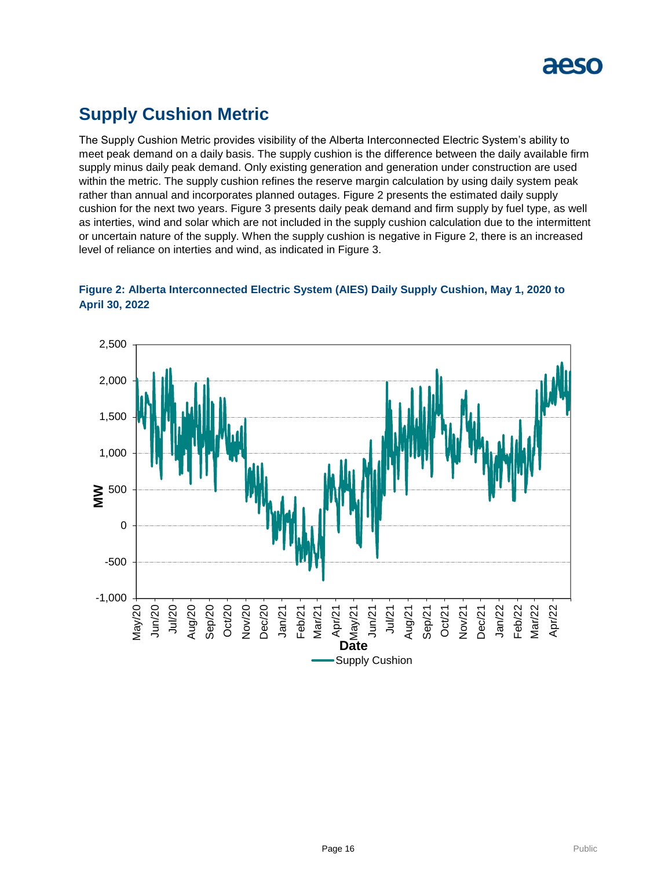

### **Supply Cushion Metric**

The Supply Cushion Metric provides visibility of the Alberta Interconnected Electric System's ability to meet peak demand on a daily basis. The supply cushion is the difference between the daily available firm supply minus daily peak demand. Only existing generation and generation under construction are used within the metric. The supply cushion refines the reserve margin calculation by using daily system peak rather than annual and incorporates planned outages. Figure 2 presents the estimated daily supply cushion for the next two years. Figure 3 presents daily peak demand and firm supply by fuel type, as well as interties, wind and solar which are not included in the supply cushion calculation due to the intermittent or uncertain nature of the supply. When the supply cushion is negative in Figure 2, there is an increased level of reliance on interties and wind, as indicated in Figure 3.



**Figure 2: Alberta Interconnected Electric System (AIES) Daily Supply Cushion, May 1, 2020 to April 30, 2022**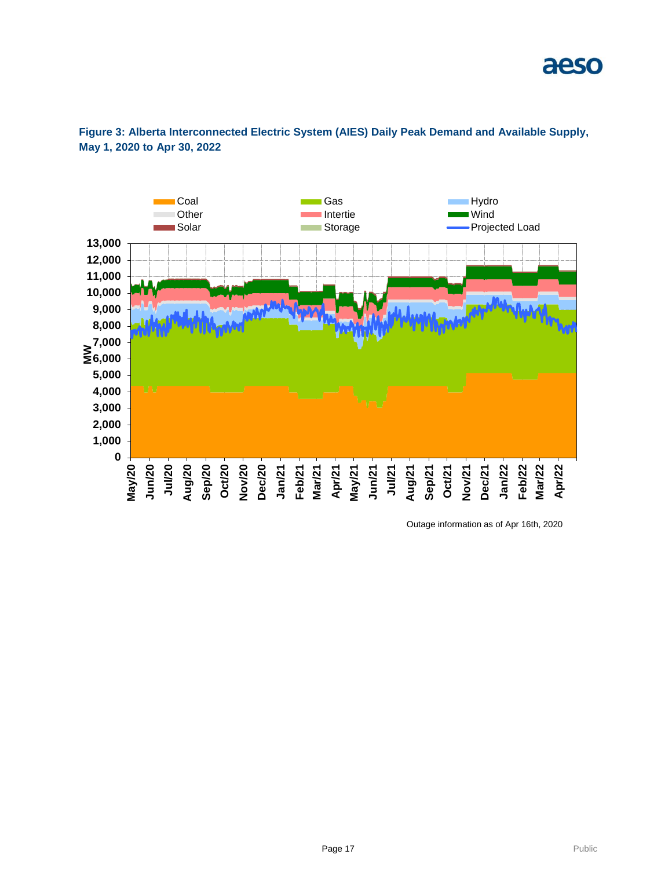

#### **Figure 3: Alberta Interconnected Electric System (AIES) Daily Peak Demand and Available Supply, May 1, 2020 to Apr 30, 2022**

Outage information as of Apr 16th, 2020